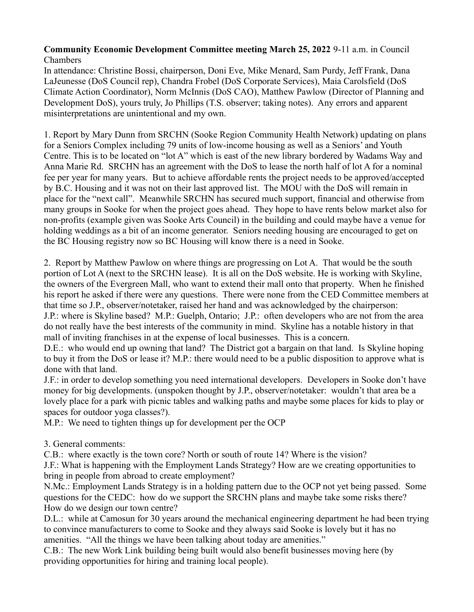## Community Economic Development Committee meeting March 25, 2022 9-11 a.m. in Council Chambers

In attendance: Christine Bossi, chairperson, Doni Eve, Mike Menard, Sam Purdy, Jeff Frank, Dana LaJeunesse (DoS Council rep), Chandra Frobel (DoS Corporate Services), Maia Carolsfield (DoS Climate Action Coordinator), Norm McInnis (DoS CAO), Matthew Pawlow (Director of Planning and Development DoS), yours truly, Jo Phillips (T.S. observer; taking notes). Any errors and apparent misinterpretations are unintentional and my own.

1. Report by Mary Dunn from SRCHN (Sooke Region Community Health Network) updating on plans for a Seniors Complex including 79 units of low-income housing as well as a Seniors' and Youth Centre. This is to be located on "lot A" which is east of the new library bordered by Wadams Way and Anna Marie Rd. SRCHN has an agreement with the DoS to lease the north half of lot A for a nominal fee per year for many years. But to achieve affordable rents the project needs to be approved/accepted by B.C. Housing and it was not on their last approved list. The MOU with the DoS will remain in place for the "next call". Meanwhile SRCHN has secured much support, financial and otherwise from many groups in Sooke for when the project goes ahead. They hope to have rents below market also for non-profits (example given was Sooke Arts Council) in the building and could maybe have a venue for holding weddings as a bit of an income generator. Seniors needing housing are encouraged to get on the BC Housing registry now so BC Housing will know there is a need in Sooke.

2. Report by Matthew Pawlow on where things are progressing on Lot A. That would be the south portion of Lot A (next to the SRCHN lease). It is all on the DoS website. He is working with Skyline, the owners of the Evergreen Mall, who want to extend their mall onto that property. When he finished his report he asked if there were any questions. There were none from the CED Committee members at that time so J.P., observer/notetaker, raised her hand and was acknowledged by the chairperson: J.P.: where is Skyline based? M.P.: Guelph, Ontario; J.P.: often developers who are not from the area do not really have the best interests of the community in mind. Skyline has a notable history in that mall of inviting franchises in at the expense of local businesses. This is a concern.

D.E.: who would end up owning that land? The District got a bargain on that land. Is Skyline hoping to buy it from the DoS or lease it? M.P.: there would need to be a public disposition to approve what is done with that land.

J.F.: in order to develop something you need international developers. Developers in Sooke don't have money for big developments. (unspoken thought by J.P., observer/notetaker: wouldn't that area be a lovely place for a park with picnic tables and walking paths and maybe some places for kids to play or spaces for outdoor yoga classes?).

M.P.: We need to tighten things up for development per the OCP

3. General comments:

C.B.: where exactly is the town core? North or south of route 14? Where is the vision? J.F.: What is happening with the Employment Lands Strategy? How are we creating opportunities to bring in people from abroad to create employment?

N.Mc.: Employment Lands Strategy is in a holding pattern due to the OCP not yet being passed. Some questions for the CEDC: how do we support the SRCHN plans and maybe take some risks there? How do we design our town centre?

D.L.: while at Camosun for 30 years around the mechanical engineering department he had been trying to convince manufacturers to come to Sooke and they always said Sooke is lovely but it has no amenities. "All the things we have been talking about today are amenities."

C.B.: The new Work Link building being built would also benefit businesses moving here (by providing opportunities for hiring and training local people).